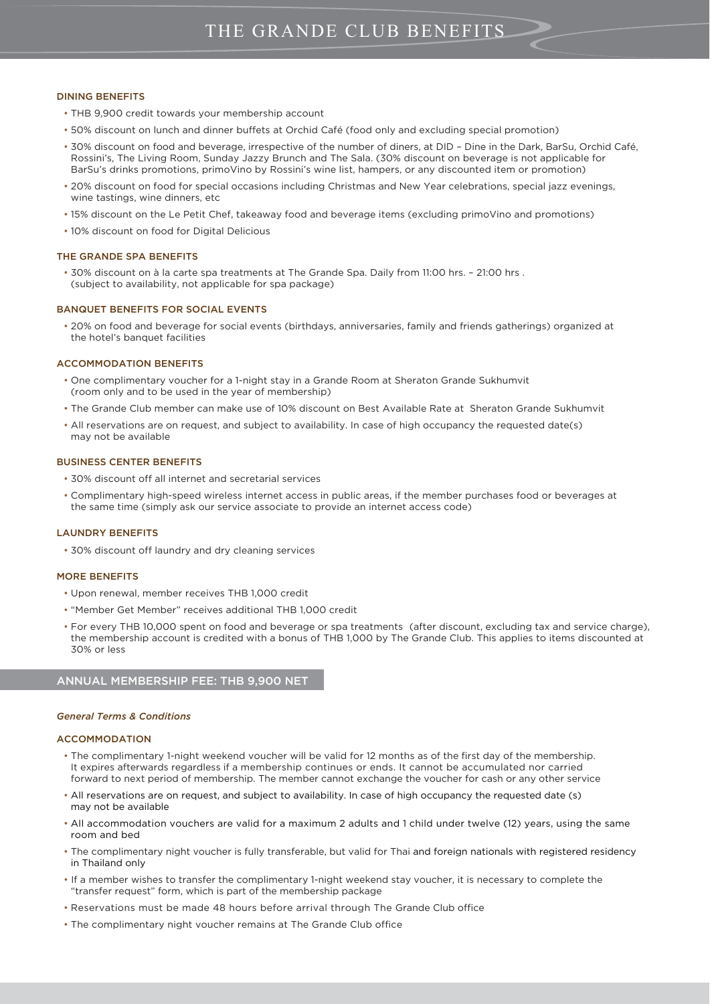# DINING BENEFITS

- THB 9,900 credit towards your membership account
- 50% discount on lunch and dinner buffets at Orchid Café (food only and excluding special promotion)
- 30% discount on food and beverage, irrespective of the number of diners, at DID Dine in the Dark, BarSu, Orchid Café, Rossini's, The Living Room, Sunday Jazzy Brunch and The Sala. (30% discount on beverage is not applicable for BarSu's drinks promotions, primoVino by Rossini's wine list, hampers, or any discounted item or promotion)
- 20% discount on food for special occasions including Christmas and New Year celebrations, special jazz evenings, wine tastings, wine dinners, etc
- 15% discount on the Le Petit Chef, takeaway food and beverage items (excluding primoVino and promotions)
- 10% discount on food for Digital Delicious

#### THE GRANDE SPA BENEFITS

 • 30% discount on à la carte spa treatments at The Grande Spa. Daily from 11:00 hrs. – 21:00 hrs . (subject to availability, not applicable for spa package)

#### BANQUET BENEFITS FOR SOCIAL EVENTS

 • 20% on food and beverage for social events (birthdays, anniversaries, family and friends gatherings) organized at the hotel's banquet facilities

#### ACCOMMODATION BENEFITS

- One complimentary voucher for a 1-night stay in a Grande Room at Sheraton Grande Sukhumvit (room only and to be used in the year of membership)
- The Grande Club member can make use of 10% discount on Best Available Rate at Sheraton Grande Sukhumvit
- All reservations are on request, and subject to availability. In case of high occupancy the requested date(s) may not be available

## BUSINESS CENTER BENEFITS

- 30% discount off all internet and secretarial services
- Complimentary high-speed wireless internet access in public areas, if the member purchases food or beverages at the same time (simply ask our service associate to provide an internet access code)

#### LAUNDRY BENEFITS

• 30% discount off laundry and dry cleaning services

#### MORE BENEFITS

- Upon renewal, member receives THB 1,000 credit
- "Member Get Member" receives additional THB 1,000 credit
- For every THB 10,000 spent on food and beverage or spa treatments (after discount, excluding tax and service charge), the membership account is credited with a bonus of THB 1,000 by The Grande Club. This applies to items discounted at 30% or less

# ANNUAL MEMBERSHIP FEE: THB 9,900 NET

#### *General Terms & Conditions*

#### ACCOMMODATION

í

- The complimentary 1-night weekend voucher will be valid for 12 months as of the first day of the membership. It expires afterwards regardless if a membership continues or ends. It cannot be accumulated nor carried forward to next period of membership. The member cannot exchange the voucher for cash or any other service
- All reservations are on request, and subject to availability. In case of high occupancy the requested date (s) may not be available
- All accommodation vouchers are valid for a maximum 2 adults and 1 child under twelve (12) years, using the same room and bed
- The complimentary night voucher is fully transferable, but valid for Thai and foreign nationals with registered residency in Thailand only
- If a member wishes to transfer the complimentary 1-night weekend stay voucher, it is necessary to complete the "transfer request" form, which is part of the membership package
- Reservations must be made 48 hours before arrival through The Grande Club office
- The complimentary night voucher remains at The Grande Club office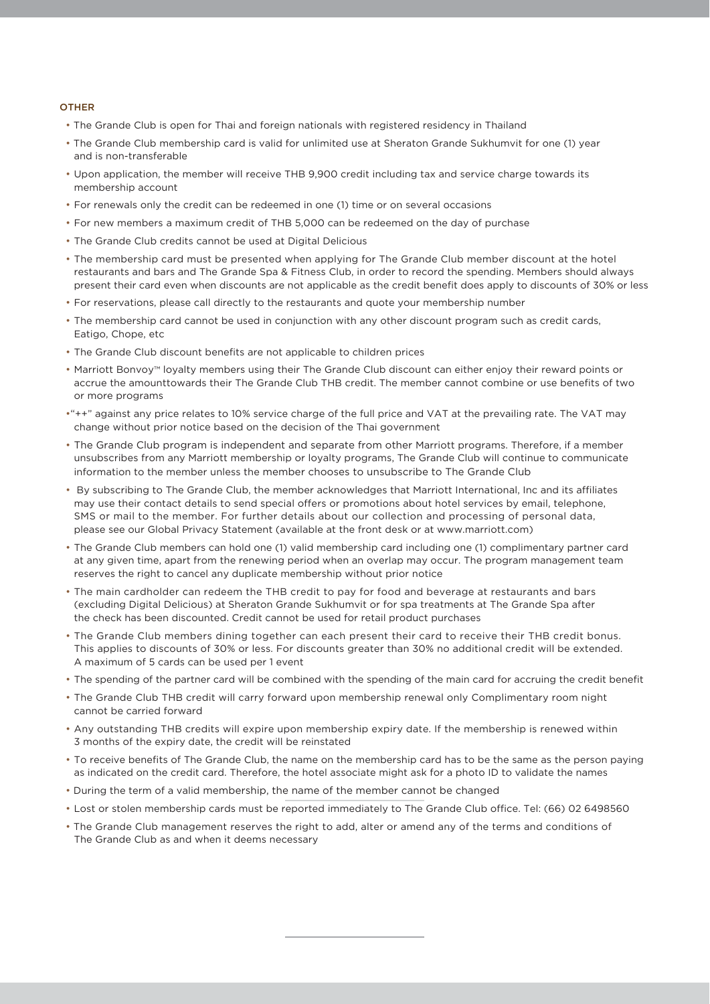## **OTHER**

- The Grande Club is open for Thai and foreign nationals with registered residency in Thailand
- The Grande Club membership card is valid for unlimited use at Sheraton Grande Sukhumvit for one (1) year and is non-transferable
- Upon application, the member will receive THB 9,900 credit including tax and service charge towards its membership account
- For renewals only the credit can be redeemed in one (1) time or on several occasions
- For new members a maximum credit of THB 5,000 can be redeemed on the day of purchase
- The Grande Club credits cannot be used at Digital Delicious
- The membership card must be presented when applying for The Grande Club member discount at the hotel restaurants and bars and The Grande Spa & Fitness Club, in order to record the spending. Members should always present their card even when discounts are not applicable as the credit benefit does apply to discounts of 30% or less
- For reservations, please call directly to the restaurants and quote your membership number
- The membership card cannot be used in conjunction with any other discount program such as credit cards, Eatigo, Chope, etc
- The Grande Club discount benefits are not applicable to children prices
- Marriott Bonvoy™ loyalty members using their The Grande Club discount can either enjoy their reward points or accrue the amounttowards their The Grande Club THB credit. The member cannot combine or use benefits of two or more programs
- •"++" against any price relates to 10% service charge of the full price and VAT at the prevailing rate. The VAT may change without prior notice based on the decision of the Thai government
- The Grande Club program is independent and separate from other Marriott programs. Therefore, if a member unsubscribes from any Marriott membership or loyalty programs, The Grande Club will continue to communicate information to the member unless the member chooses to unsubscribe to The Grande Club
- By subscribing to The Grande Club, the member acknowledges that Marriott International, Inc and its affiliates may use their contact details to send special offers or promotions about hotel services by email, telephone, SMS or mail to the member. For further details about our collection and processing of personal data, please see our Global Privacy Statement (available at the front desk or at www.marriott.com)
- The Grande Club members can hold one (1) valid membership card including one (1) complimentary partner card at any given time, apart from the renewing period when an overlap may occur. The program management team reserves the right to cancel any duplicate membership without prior notice
- The main cardholder can redeem the THB credit to pay for food and beverage at restaurants and bars (excluding Digital Delicious) at Sheraton Grande Sukhumvit or for spa treatments at The Grande Spa after the check has been discounted. Credit cannot be used for retail product purchases
- The Grande Club members dining together can each present their card to receive their THB credit bonus. This applies to discounts of 30% or less. For discounts greater than 30% no additional credit will be extended. A maximum of 5 cards can be used per 1 event
- The spending of the partner card will be combined with the spending of the main card for accruing the credit benefit
- The Grande Club THB credit will carry forward upon membership renewal only Complimentary room night cannot be carried forward
- Any outstanding THB credits will expire upon membership expiry date. If the membership is renewed within 3 months of the expiry date, the credit will be reinstated
- To receive benefits of The Grande Club, the name on the membership card has to be the same as the person paying as indicated on the credit card. Therefore, the hotel associate might ask for a photo ID to validate the names
- During the term of a valid membership, the name of the member cannot be changed
- Lost or stolen membership cards must be reported immediately to The Grande Club office. Tel: (66) 02 6498560
- The Grande Club management reserves the right to add, alter or amend any of the terms and conditions of The Grande Club as and when it deems necessary